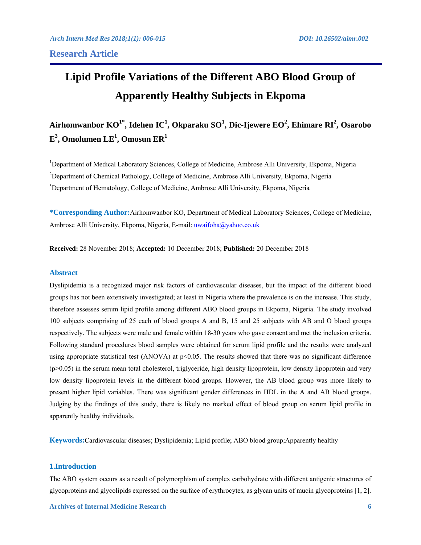# **Lipid Profile Variations of the Different ABO Blood Group of Apparently Healthy Subjects in Ekpoma**

**Airhomwanbor KO1\*, Idehen IC1 , Okparaku SO<sup>1</sup> , Dic-Ijewere EO<sup>2</sup> , Ehimare RI<sup>2</sup> , Osarobo E3 , Omolumen LE<sup>1</sup> , Omosun ER<sup>1</sup>**

<sup>1</sup>Department of Medical Laboratory Sciences, College of Medicine, Ambrose Alli University, Ekpoma, Nigeria <sup>2</sup>Department of Chemical Pathology, College of Medicine, Ambrose Alli University, Ekpoma, Nigeria <sup>3</sup>Department of Hematology, College of Medicine, Ambrose Alli University, Ekpoma, Nigeria

**\*Corresponding Author:**Airhomwanbor KO, Department of Medical Laboratory Sciences, College of Medicine, Ambrose Alli University, Ekpoma, Nigeria, E-mail: uwaifoha@yahoo.co.uk

**Received:** 28 November 2018; **Accepted:** 10 December 2018; **Published:** 20 December 2018

# **Abstract**

Dyslipidemia is a recognized major risk factors of cardiovascular diseases, but the impact of the different blood groups has not been extensively investigated; at least in Nigeria where the prevalence is on the increase. This study, therefore assesses serum lipid profile among different ABO blood groups in Ekpoma, Nigeria. The study involved 100 subjects comprising of 25 each of blood groups A and B, 15 and 25 subjects with AB and O blood groups respectively. The subjects were male and female within 18-30 years who gave consent and met the inclusion criteria. Following standard procedures blood samples were obtained for serum lipid profile and the results were analyzed using appropriate statistical test (ANOVA) at  $p<0.05$ . The results showed that there was no significant difference  $(p>0.05)$  in the serum mean total cholesterol, triglyceride, high density lipoprotein, low density lipoprotein and very low density lipoprotein levels in the different blood groups. However, the AB blood group was more likely to present higher lipid variables. There was significant gender differences in HDL in the A and AB blood groups. Judging by the findings of this study, there is likely no marked effect of blood group on serum lipid profile in apparently healthy individuals.

**Keywords:**Cardiovascular diseases; Dyslipidemia; Lipid profile; ABO blood group;Apparently healthy

### **1.Introduction**

The ABO system occurs as a result of polymorphism of complex carbohydrate with different antigenic structures of glycoproteins and glycolipids expressed on the surface of erythrocytes, as glycan units of mucin glycoproteins [1, 2].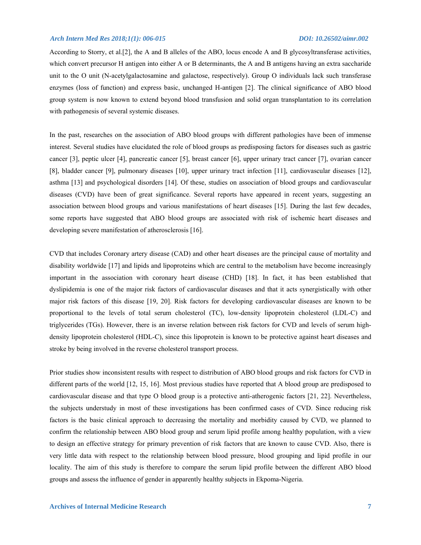According to Storry, et al.[2], the A and B alleles of the ABO, locus encode A and B glycosyltransferase activities, which convert precursor H antigen into either A or B determinants, the A and B antigens having an extra saccharide unit to the O unit (N-acetylgalactosamine and galactose, respectively). Group O individuals lack such transferase enzymes (loss of function) and express basic, unchanged H-antigen [2]. The clinical significance of ABO blood group system is now known to extend beyond blood transfusion and solid organ transplantation to its correlation with pathogenesis of several systemic diseases.

In the past, researches on the association of ABO blood groups with different pathologies have been of immense interest. Several studies have elucidated the role of blood groups as predisposing factors for diseases such as gastric cancer [3], peptic ulcer [4], pancreatic cancer [5], breast cancer [6], upper urinary tract cancer [7], ovarian cancer [8], bladder cancer [9], pulmonary diseases [10], upper urinary tract infection [11], cardiovascular diseases [12], asthma [13] and psychological disorders [14]. Of these, studies on association of blood groups and cardiovascular diseases (CVD) have been of great significance. Several reports have appeared in recent years, suggesting an association between blood groups and various manifestations of heart diseases [15]. During the last few decades, some reports have suggested that ABO blood groups are associated with risk of ischemic heart diseases and developing severe manifestation of atherosclerosis [16].

CVD that includes Coronary artery disease (CAD) and other heart diseases are the principal cause of mortality and disability worldwide [17] and lipids and lipoproteins which are central to the metabolism have become increasingly important in the association with coronary heart disease (CHD) [18]. In fact, it has been established that dyslipidemia is one of the major risk factors of cardiovascular diseases and that it acts synergistically with other major risk factors of this disease [19, 20]. Risk factors for developing cardiovascular diseases are known to be proportional to the levels of total serum cholesterol (TC), low-density lipoprotein cholesterol (LDL-C) and triglycerides (TGs). However, there is an inverse relation between risk factors for CVD and levels of serum highdensity lipoprotein cholesterol (HDL-C), since this lipoprotein is known to be protective against heart diseases and stroke by being involved in the reverse cholesterol transport process.

Prior studies show inconsistent results with respect to distribution of ABO blood groups and risk factors for CVD in different parts of the world [12, 15, 16]. Most previous studies have reported that A blood group are predisposed to cardiovascular disease and that type O blood group is a protective anti-atherogenic factors [21, 22]. Nevertheless, the subjects understudy in most of these investigations has been confirmed cases of CVD. Since reducing risk factors is the basic clinical approach to decreasing the mortality and morbidity caused by CVD, we planned to confirm the relationship between ABO blood group and serum lipid profile among healthy population, with a view to design an effective strategy for primary prevention of risk factors that are known to cause CVD. Also, there is very little data with respect to the relationship between blood pressure, blood grouping and lipid profile in our locality. The aim of this study is therefore to compare the serum lipid profile between the different ABO blood groups and assess the influence of gender in apparently healthy subjects in Ekpoma-Nigeria.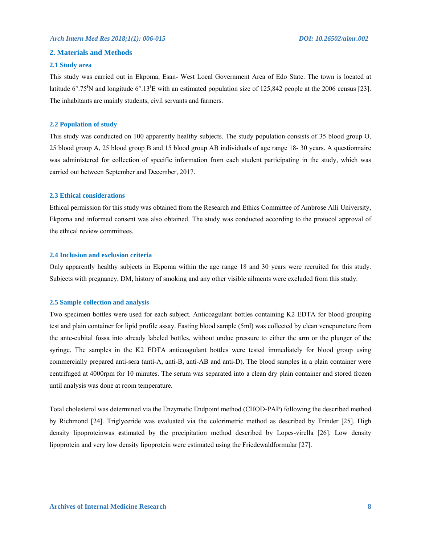### **2. Materials and Methods**

#### **2.1 Study area**

This study was carried out in Ekpoma, Esan- West Local Government Area of Edo State. The town is located at latitude  $6^{\circ}$ .75<sup>I</sup>N and longitude  $6^{\circ}$ .13<sup>I</sup>E with an estimated population size of 125,842 people at the 2006 census [23]. The inhabitants are mainly students, civil servants and farmers.

#### **2.2 Population of study**

This study was conducted on 100 apparently healthy subjects. The study population consists of 35 blood group O, 25 blood group A, 25 blood group B and 15 blood group AB individuals of age range 18- 30 years. A questionnaire was administered for collection of specific information from each student participating in the study, which was carried out between September and December, 2017.

#### **2.3 Ethical considerations**

Ethical permission for this study was obtained from the Research and Ethics Committee of Ambrose Alli University, Ekpoma and informed consent was also obtained. The study was conducted according to the protocol approval of the ethical review committees.

### **2.4 Inclusion and exclusion criteria**

Only apparently healthy subjects in Ekpoma within the age range 18 and 30 years were recruited for this study. Subjects with pregnancy, DM, history of smoking and any other visible ailments were excluded from this study.

### **2.5 Sample collection and analysis**

Two specimen bottles were used for each subject. Anticoagulant bottles containing K2 EDTA for blood grouping test and plain container for lipid profile assay. Fasting blood sample (5ml) was collected by clean venepuncture from the ante-cubital fossa into already labeled bottles, without undue pressure to either the arm or the plunger of the syringe. The samples in the K2 EDTA anticoagulant bottles were tested immediately for blood group using commercially prepared anti-sera (anti-A, anti-B, anti-AB and anti-D). The blood samples in a plain container were centrifuged at 4000rpm for 10 minutes. The serum was separated into a clean dry plain container and stored frozen until analysis was done at room temperature.

Total cholesterol was determined via the Enzymatic Endpoint method (CHOD-PAP) following the described method by Richmond [24]. Triglyceride was evaluated via the colorimetric method as described by Trinder [25]. High density lipoproteinwas **e**stimated by the precipitation method described by Lopes-virella [26]. Low density lipoprotein and very low density lipoprotein were estimated using the Friedewaldformular [27].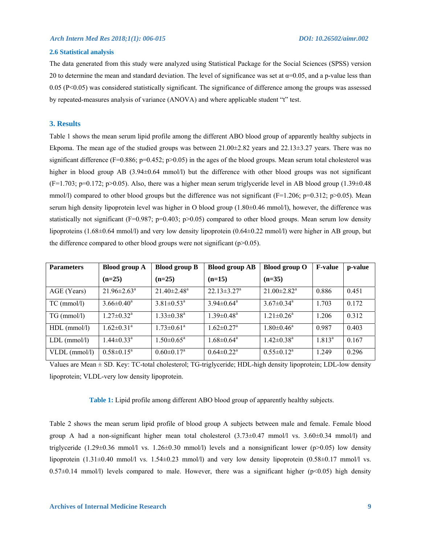#### **2.6 Statistical analysis**

The data generated from this study were analyzed using Statistical Package for the Social Sciences (SPSS) version 20 to determine the mean and standard deviation. The level of significance was set at  $\alpha$ =0.05, and a p-value less than 0.05 (P<0.05) was considered statistically significant. The significance of difference among the groups was assessed by repeated-measures analysis of variance (ANOVA) and where applicable student "t" test.

# **3. Results**

Table 1 shows the mean serum lipid profile among the different ABO blood group of apparently healthy subjects in Ekpoma. The mean age of the studied groups was between  $21.00\pm2.82$  years and  $22.13\pm3.27$  years. There was no significant difference (F=0.886; p=0.452; p>0.05) in the ages of the blood groups. Mean serum total cholesterol was higher in blood group AB (3.94 $\pm$ 0.64 mmol/l) but the difference with other blood groups was not significant  $(F=1.703; p=0.172; p>0.05)$ . Also, there was a higher mean serum triglyceride level in AB blood group  $(1.39\pm0.48)$ mmol/l) compared to other blood groups but the difference was not significant (F=1.206; p=0.312; p>0.05). Mean serum high density lipoprotein level was higher in O blood group  $(1.80\pm0.46 \text{ mmol/l})$ , however, the difference was statistically not significant ( $F=0.987$ ;  $p=0.403$ ;  $p>0.05$ ) compared to other blood groups. Mean serum low density lipoproteins (1.68±0.64 mmol/l) and very low density lipoprotein (0.64±0.22 mmol/l) were higher in AB group, but the difference compared to other blood groups were not significant  $(p>0.05)$ .

| <b>Parameters</b> | <b>Blood group A</b>         | <b>Blood group B</b>          | <b>Blood group AB</b>         | <b>Blood group O</b>          | <b>F-value</b> | p-value |
|-------------------|------------------------------|-------------------------------|-------------------------------|-------------------------------|----------------|---------|
|                   | $(n=25)$                     | $(n=25)$                      | $(n=15)$                      | $(n=35)$                      |                |         |
| AGE (Years)       | $21.96 \pm 2.63^{\circ}$     | $21.40 \pm 2.48$ <sup>a</sup> | $22.13 \pm 3.27$ <sup>a</sup> | $21.00 \pm 2.82$ <sup>a</sup> | 0.886          | 0.451   |
| $TC \ (mmol/l)$   | $3.66 \pm 0.40^a$            | $3.81 \pm 0.53^{\text{a}}$    | $3.94 \pm 0.64^{\text{a}}$    | $3.67 \pm 0.34$ <sup>a</sup>  | 1.703          | 0.172   |
| $TG \, (mmol/l)$  | $1.27 \pm 0.32^{\text{a}}$   | $1.33 \pm 0.38$ <sup>a</sup>  | $1.39 \pm 0.48^a$             | $1.21 \pm 0.26^a$             | 1.206          | 0.312   |
| $HDL$ (mmol/l)    | $1.62 \pm 0.31$ <sup>a</sup> | $1.73 \pm 0.61^a$             | $1.62 \pm 0.27$ <sup>a</sup>  | $1.80 \pm 0.46$ <sup>a</sup>  | 0.987          | 0.403   |
| $LDL$ (mmol/l)    | $1.44 \pm 0.33$ <sup>a</sup> | $1.50 \pm 0.65^{\text{a}}$    | $1.68 \pm 0.64$ <sup>a</sup>  | $1.42 \pm 0.38$ <sup>a</sup>  | $1.813^a$      | 0.167   |
| VLDL (mmol/l)     | $0.58 \pm 0.15^a$            | $0.60 \pm 0.17^a$             | $0.64 \pm 0.22^{\text{a}}$    | $0.55 \pm 0.12^a$             | 1.249          | 0.296   |

Values are Mean ± SD. Key: TC-total cholesterol; TG-triglyceride; HDL-high density lipoprotein; LDL-low density lipoprotein; VLDL-very low density lipoprotein.

**Table 1:** Lipid profile among different ABO blood group of apparently healthy subjects.

Table 2 shows the mean serum lipid profile of blood group A subjects between male and female. Female blood group A had a non-significant higher mean total cholesterol  $(3.73\pm0.47 \text{ mmol/l vs. } 3.60\pm0.34 \text{ mmol/l})$  and triglyceride  $(1.29\pm0.36 \text{ mmol/l vs. } 1.26\pm0.30 \text{ mmol/l})$  levels and a nonsignificant lower (p>0.05) low density lipoprotein  $(1.31\pm0.40 \text{ mmol/l} \text{ vs. } 1.54\pm0.23 \text{ mmol/l})$  and very low density lipoprotein  $(0.58\pm0.17 \text{ mmol/l} \text{ vs. } 1.54\pm0.23 \text{ mmol/l})$ 0.57±0.14 mmol/l) levels compared to male. However, there was a significant higher (p<0.05) high density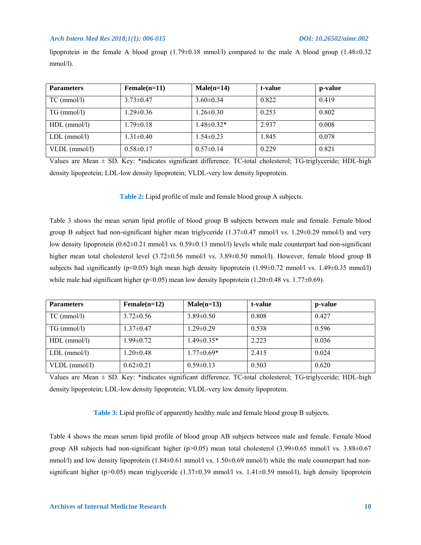lipoprotein in the female A blood group  $(1.79\pm0.18 \text{ mmol/l})$  compared to the male A blood group  $(1.48\pm0.32 \text{ mol})$ mmol/l).

| <b>Parameters</b> | $Female(n=11)$  | $Male(n=14)$     | t-value | p-value |
|-------------------|-----------------|------------------|---------|---------|
| $TC$ (mmol/l)     | $3.73 \pm 0.47$ | $3.60\pm0.34$    | 0.822   | 0.419   |
| $TG \, (mmol/l)$  | $1.29 \pm 0.36$ | $1.26 \pm 0.30$  | 0.253   | 0.802   |
| $HDL$ (mmol/l)    | $1.79 \pm 0.18$ | $1.48 \pm 0.32*$ | 2.937   | 0.008   |
| $LDL$ (mmol/l)    | $1.31 \pm 0.40$ | $1.54 \pm 0.23$  | 1.845   | 0.078   |
| $VLDL$ (mmol/l)   | $0.58 \pm 0.17$ | $0.57 \pm 0.14$  | 0.229   | 0.821   |

Values are Mean ± SD. Key: \*indicates significant difference. TC-total cholesterol; TG-triglyceride; HDL-high density lipoprotein; LDL-low density lipoprotein; VLDL-very low density lipoprotein.

**Table 2:** Lipid profile of male and female blood group A subjects.

Table 3 shows the mean serum lipid profile of blood group B subjects between male and female. Female blood group B subject had non-significant higher mean triglyceride (1.37±0.47 mmol/l vs. 1.29±0.29 mmol/l) and very low density lipoprotein (0.62±0.21 mmol/l vs. 0.59±0.13 mmol/l) levels while male counterpart had non-significant higher mean total cholesterol level  $(3.72\pm0.56 \text{ mmol/l vs. } 3.89\pm0.50 \text{ mmol/l})$ . However, female blood group B subjects had significantly (p<0.05) high mean high density lipoprotein (1.99±0.72 mmol/l vs. 1.49±0.35 mmol/l) while male had significant higher (p<0.05) mean low density lipoprotein (1.20±0.48 vs. 1.77±0.69).

| <b>Parameters</b> | $Female(n=12)$  | $Male(n=13)$     | t-value | p-value |
|-------------------|-----------------|------------------|---------|---------|
| $TC$ (mmol/l)     | $3.72 \pm 0.56$ | $3.89\pm0.50$    | 0.808   | 0.427   |
| $TG \, (mmol/l)$  | $1.37 \pm 0.47$ | $1.29 \pm 0.29$  | 0.538   | 0.596   |
| $HDL$ (mmol/l)    | $1.99 \pm 0.72$ | $1.49 \pm 0.35*$ | 2.223   | 0.036   |
| $LDL$ (mmol/l)    | $20\pm0.48$     | $1.77 \pm 0.69*$ | 2.415   | 0.024   |
| $VLDL$ (mmol/l)   | $0.62 \pm 0.21$ | $0.59 \pm 0.13$  | 0.503   | 0.620   |

Values are Mean ± SD. Key: \*indicates significant difference. TC-total cholesterol; TG-triglyceride; HDL-high density lipoprotein; LDL-low density lipoprotein; VLDL-very low density lipoprotein.

**Table 3:** Lipid profile of apparently healthy male and female blood group B subjects.

Table 4 shows the mean serum lipid profile of blood group AB subjects between male and female. Female blood group AB subjects had non-significant higher ( $p>0.05$ ) mean total cholesterol (3.99±0.65 mmol/l vs. 3.88±0.67 mmol/l) and low density lipoprotein  $(1.84\pm0.61 \text{ mmol/l} \text{ vs. } 1.50\pm0.69 \text{ mmol/l})$  while the male counterpart had nonsignificant higher (p>0.05) mean triglyceride  $(1.37\pm0.39 \text{ mmol/l vs. } 1.41\pm0.59 \text{ mmol/l})$ , high density lipoprotein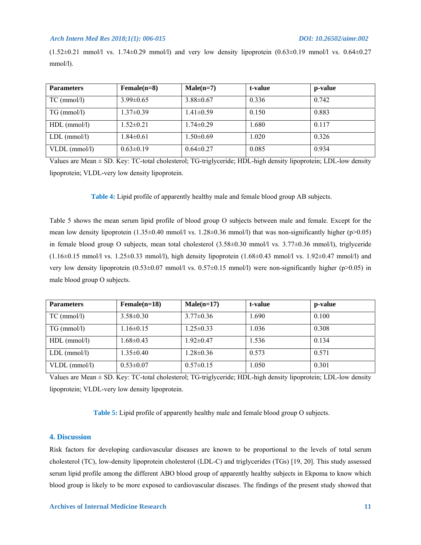$(1.52\pm0.21 \text{ mmol/l vs. } 1.74\pm0.29 \text{ mmol/l})$  and very low density lipoprotein  $(0.63\pm0.19 \text{ mmol/l vs. } 0.64\pm0.27 \text{ nmol/l})$ mmol/l).

| <b>Parameters</b> | $Female(n=8)$   | $Male(n=7)$     | t-value | p-value |
|-------------------|-----------------|-----------------|---------|---------|
| $TC$ (mmol/l)     | $3.99 \pm 0.65$ | $3.88 \pm 0.67$ | 0.336   | 0.742   |
| $TG \, (mmol/l)$  | $1.37 \pm 0.39$ | $1.41\pm0.59$   | 0.150   | 0.883   |
| $HDL$ (mmol/l)    | $1.52 \pm 0.21$ | $1.74 \pm 0.29$ | 1.680   | 0.117   |
| $LDL$ (mmol/l)    | $1.84 \pm 0.61$ | $1.50\pm0.69$   | 1.020   | 0.326   |
| $VLDL$ (mmol/l)   | $0.63 \pm 0.19$ | $0.64 \pm 0.27$ | 0.085   | 0.934   |

Values are Mean ± SD. Key: TC-total cholesterol; TG-triglyceride; HDL-high density lipoprotein; LDL-low density lipoprotein; VLDL-very low density lipoprotein.

**Table 4:** Lipid profile of apparently healthy male and female blood group AB subjects.

Table 5 shows the mean serum lipid profile of blood group O subjects between male and female. Except for the mean low density lipoprotein  $(1.35\pm0.40 \text{ mmol/l vs. } 1.28\pm0.36 \text{ mmol/l})$  that was non-significantly higher (p>0.05) in female blood group O subjects, mean total cholesterol (3.58±0.30 mmol/l vs. 3.77±0.36 mmol/l), triglyceride  $(1.16\pm0.15 \text{ mmol/l vs. } 1.25\pm0.33 \text{ mmol/l})$ , high density lipoprotein  $(1.68\pm0.43 \text{ mmol/l vs. } 1.92\pm0.47 \text{ mmol/l})$  and very low density lipoprotein (0.53±0.07 mmol/l vs. 0.57±0.15 mmol/l) were non-significantly higher (p>0.05) in male blood group O subjects.

| <b>Parameters</b> | $Female(n=18)$  | $Male(n=17)$    | t-value | p-value |
|-------------------|-----------------|-----------------|---------|---------|
| $TC \, (mmol/l)$  | $3.58 \pm 0.30$ | $3.77 \pm 0.36$ | 1.690   | 0.100   |
| $TG \, (mmol/l)$  | $1.16 \pm 0.15$ | $1.25 \pm 0.33$ | 1.036   | 0.308   |
| $HDL$ (mmol/l)    | $1.68 \pm 0.43$ | $1.92 \pm 0.47$ | 1.536   | 0.134   |
| $LDL$ (mmol/l)    | $1.35 \pm 0.40$ | $.28 \pm 0.36$  | 0.573   | 0.571   |
| $VLDL$ (mmol/l)   | $0.53 \pm 0.07$ | $0.57 \pm 0.15$ | 1.050   | 0.301   |

Values are Mean ± SD. Key: TC-total cholesterol; TG-triglyceride; HDL-high density lipoprotein; LDL-low density lipoprotein; VLDL-very low density lipoprotein.

**Table 5:** Lipid profile of apparently healthy male and female blood group O subjects.

# **4. Discussion**

Risk factors for developing cardiovascular diseases are known to be proportional to the levels of total serum cholesterol (TC), low-density lipoprotein cholesterol (LDL-C) and triglycerides (TGs) [19, 20]. This study assessed serum lipid profile among the different ABO blood group of apparently healthy subjects in Ekpoma to know which blood group is likely to be more exposed to cardiovascular diseases. The findings of the present study showed that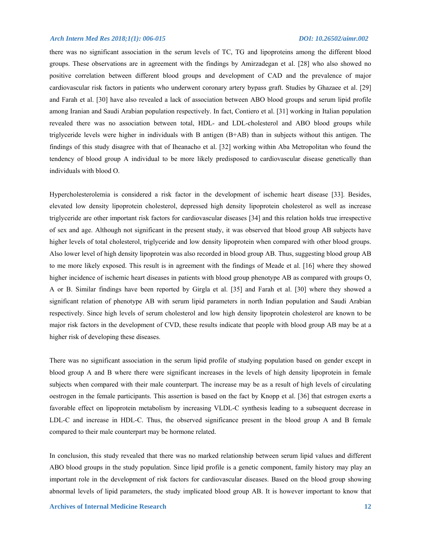there was no significant association in the serum levels of TC, TG and lipoproteins among the different blood groups. These observations are in agreement with the findings by Amirzadegan et al. [28] who also showed no positive correlation between different blood groups and development of CAD and the prevalence of major cardiovascular risk factors in patients who underwent coronary artery bypass graft. Studies by Ghazaee et al. [29] and Farah et al. [30] have also revealed a lack of association between ABO blood groups and serum lipid profile among Iranian and Saudi Arabian population respectively. In fact, Contiero et al. [31] working in Italian population revealed there was no association between total, HDL- and LDL-cholesterol and ABO blood groups while triglyceride levels were higher in individuals with B antigen (B+AB) than in subjects without this antigen. The findings of this study disagree with that of Iheanacho et al. [32] working within Aba Metropolitan who found the tendency of blood group A individual to be more likely predisposed to cardiovascular disease genetically than individuals with blood O.

Hypercholesterolemia is considered a risk factor in the development of ischemic heart disease [33]. Besides, elevated low density lipoprotein cholesterol, depressed high density lipoprotein cholesterol as well as increase triglyceride are other important risk factors for cardiovascular diseases [34] and this relation holds true irrespective of sex and age. Although not significant in the present study, it was observed that blood group AB subjects have higher levels of total cholesterol, triglyceride and low density lipoprotein when compared with other blood groups. Also lower level of high density lipoprotein was also recorded in blood group AB. Thus, suggesting blood group AB to me more likely exposed. This result is in agreement with the findings of Meade et al. [16] where they showed higher incidence of ischemic heart diseases in patients with blood group phenotype AB as compared with groups O, A or B. Similar findings have been reported by Girgla et al. [35] and Farah et al. [30] where they showed a significant relation of phenotype AB with serum lipid parameters in north Indian population and Saudi Arabian respectively. Since high levels of serum cholesterol and low high density lipoprotein cholesterol are known to be major risk factors in the development of CVD, these results indicate that people with blood group AB may be at a higher risk of developing these diseases.

There was no significant association in the serum lipid profile of studying population based on gender except in blood group A and B where there were significant increases in the levels of high density lipoprotein in female subjects when compared with their male counterpart. The increase may be as a result of high levels of circulating oestrogen in the female participants. This assertion is based on the fact by Knopp et al. [36] that estrogen exerts a favorable effect on lipoprotein metabolism by increasing VLDL-C synthesis leading to a subsequent decrease in LDL-C and increase in HDL-C. Thus, the observed significance present in the blood group A and B female compared to their male counterpart may be hormone related.

In conclusion, this study revealed that there was no marked relationship between serum lipid values and different ABO blood groups in the study population. Since lipid profile is a genetic component, family history may play an important role in the development of risk factors for cardiovascular diseases. Based on the blood group showing abnormal levels of lipid parameters, the study implicated blood group AB. It is however important to know that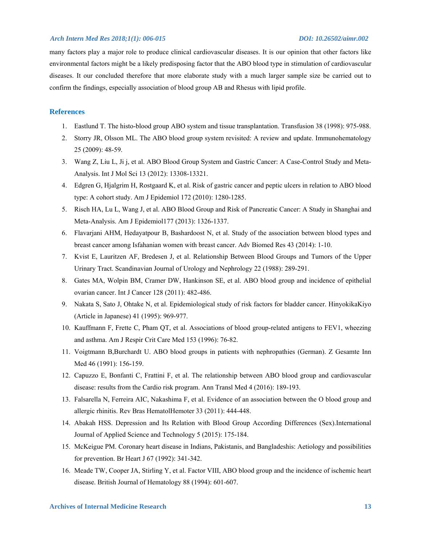many factors play a major role to produce clinical cardiovascular diseases. It is our opinion that other factors like environmental factors might be a likely predisposing factor that the ABO blood type in stimulation of cardiovascular diseases. It our concluded therefore that more elaborate study with a much larger sample size be carried out to confirm the findings, especially association of blood group AB and Rhesus with lipid profile.

# **References**

- 1. Eastlund T. The histo-blood group ABO system and tissue transplantation. Transfusion 38 (1998): 975-988.
- 2. Storry JR, Olsson ML. The ABO blood group system revisited: A review and update. Immunohematology 25 (2009): 48-59.
- 3. Wang Z, Liu L, Ji j, et al. ABO Blood Group System and Gastric Cancer: A Case-Control Study and Meta-Analysis. Int J Mol Sci 13 (2012): 13308-13321.
- 4. Edgren G, Hjalgrim H, Rostgaard K, et al. Risk of gastric cancer and peptic ulcers in relation to ABO blood type: A cohort study. Am J Epidemiol 172 (2010): 1280-1285.
- 5. Risch HA, Lu L, Wang J, et al. ABO Blood Group and Risk of Pancreatic Cancer: A Study in Shanghai and Meta-Analysis. Am J Epidemiol177 (2013): 1326-1337.
- 6. Flavarjani AHM, Hedayatpour B, Bashardoost N, et al. Study of the association between blood types and breast cancer among Isfahanian women with breast cancer. Adv Biomed Res 43 (2014): 1-10.
- 7. Kvist E, Lauritzen AF, Bredesen J, et al. Relationship Between Blood Groups and Tumors of the Upper Urinary Tract. Scandinavian Journal of Urology and Nephrology 22 (1988): 289-291.
- 8. Gates MA, Wolpin BM, Cramer DW, Hankinson SE, et al. ABO blood group and incidence of epithelial ovarian cancer. Int J Cancer 128 (2011): 482-486.
- 9. Nakata S, Sato J, Ohtake N, et al. Epidemiological study of risk factors for bladder cancer. HinyokikaKiyo (Article in Japanese) 41 (1995): 969-977.
- 10. Kauffmann F, Frette C, Pham QT, et al. Associations of blood group-related antigens to FEV1, wheezing and asthma. Am J Respir Crit Care Med 153 (1996): 76-82.
- 11. Voigtmann B,Burchardt U. ABO blood groups in patients with nephropathies (German). Z Gesamte Inn Med 46 (1991): 156-159.
- 12. Capuzzo E, Bonfanti C, Frattini F, et al. The relationship between ABO blood group and cardiovascular disease: results from the Cardio risk program. Ann Transl Med 4 (2016): 189-193.
- 13. Falsarella N, Ferreira AIC, Nakashima F, et al. Evidence of an association between the O blood group and allergic rhinitis. Rev Bras HematolHemoter 33 (2011): 444-448.
- 14. Abakah HSS. Depression and Its Relation with Blood Group According Differences (Sex).International Journal of Applied Science and Technology 5 (2015): 175-184.
- 15. McKeigue PM. Coronary heart disease in Indians, Pakistanis, and Bangladeshis: Aetiology and possibilities for prevention. Br Heart J 67 (1992): 341-342.
- 16. Meade TW, Cooper JA, Stirling Y, et al. Factor VIII, ABO blood group and the incidence of ischemic heart disease. British Journal of Hematology 88 (1994): 601-607.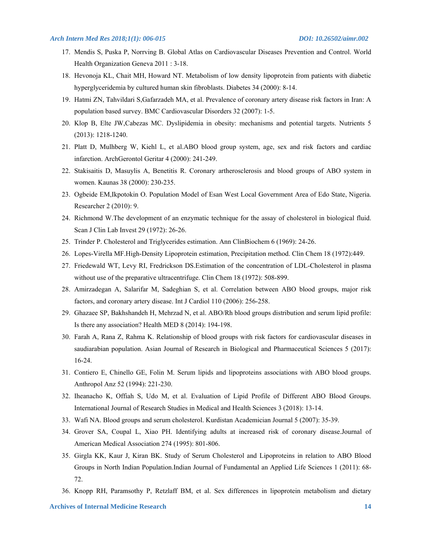- 17. Mendis S, Puska P, Norrving B. Global Atlas on Cardiovascular Diseases Prevention and Control. World Health Organization Geneva 2011 : 3-18.
- 18. Hevonoja KL, Chait MH, Howard NT. Metabolism of low density lipoprotein from patients with diabetic hyperglyceridemia by cultured human skin fibroblasts. Diabetes 34 (2000): 8-14.
- 19. Hatmi ZN, Tahvildari S,Gafarzadeh MA, et al. Prevalence of coronary artery disease risk factors in Iran: A population based survey. BMC Cardiovascular Disorders 32 (2007): 1-5.
- 20. Klop B, Elte JW,Cabezas MC. Dyslipidemia in obesity: mechanisms and potential targets. Nutrients 5 (2013): 1218-1240.
- 21. Platt D, Mulhberg W, Kiehl L, et al.ABO blood group system, age, sex and risk factors and cardiac infarction. ArchGerontol Geritar 4 (2000): 241-249.
- 22. Stakisaitis D, Masuylis A, Benetitis R. Coronary artherosclerosis and blood groups of ABO system in women. Kaunas 38 (2000): 230-235.
- 23. Ogbeide EM,Ikpotokin O. Population Model of Esan West Local Government Area of Edo State, Nigeria. Researcher 2 (2010): 9.
- 24. Richmond W.The development of an enzymatic technique for the assay of cholesterol in biological fluid. Scan J Clin Lab Invest 29 (1972): 26-26.
- 25. Trinder P. Cholesterol and Triglycerides estimation. Ann ClinBiochem 6 (1969): 24-26.
- 26. Lopes-Virella MF.High-Density Lipoprotein estimation, Precipitation method. Clin Chem 18 (1972):449.
- 27. Friedewald WT, Levy RI, Fredrickson DS.Estimation of the concentration of LDL-Cholesterol in plasma without use of the preparative ultracentrifuge. Clin Chem 18 (1972): 508-899.
- 28. Amirzadegan A, Salarifar M, Sadeghian S, et al. Correlation between ABO blood groups, major risk factors, and coronary artery disease. Int J Cardiol 110 (2006): 256-258.
- 29. Ghazaee SP, Bakhshandeh H, Mehrzad N, et al. ABO/Rh blood groups distribution and serum lipid profile: Is there any association? Health MED 8 (2014): 194-198.
- 30. Farah A, Rana Z, Rahma K. Relationship of blood groups with risk factors for cardiovascular diseases in saudiarabian population. Asian Journal of Research in Biological and Pharmaceutical Sciences 5 (2017): 16-24.
- 31. Contiero E, Chinello GE, Folin M. Serum lipids and lipoproteins associations with ABO blood groups. Anthropol Anz 52 (1994): 221-230.
- 32. Iheanacho K, Offiah S, Udo M, et al. Evaluation of Lipid Profile of Different ABO Blood Groups. International Journal of Research Studies in Medical and Health Sciences 3 (2018): 13-14.
- 33. Wafi NA. Blood groups and serum cholesterol. Kurdistan Academician Journal 5 (2007): 35-39.
- 34. Grover SA, Coupal L, Xiao PH. Identifying adults at increased risk of coronary disease.Journal of American Medical Association 274 (1995): 801-806.
- 35. Girgla KK, Kaur J, Kiran BK. Study of Serum Cholesterol and Lipoproteins in relation to ABO Blood Groups in North Indian Population.Indian Journal of Fundamental an Applied Life Sciences 1 (2011): 68- 72.
- 36. Knopp RH, Paramsothy P, Retzlaff BM, et al. Sex differences in lipoprotein metabolism and dietary